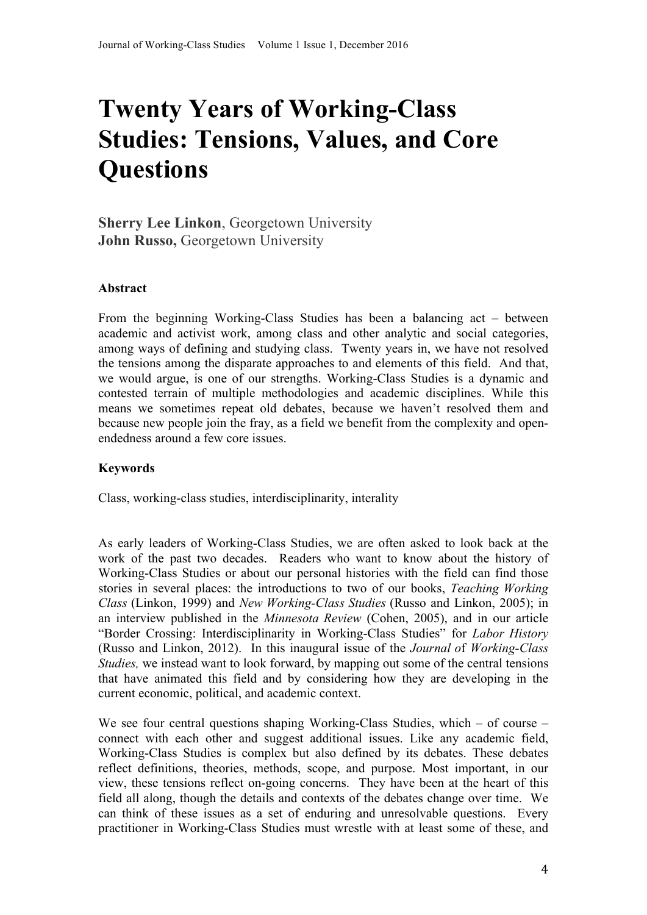# **Twenty Years of Working-Class Studies: Tensions, Values, and Core Questions**

**Sherry Lee Linkon**, Georgetown University **John Russo,** Georgetown University

# **Abstract**

From the beginning Working-Class Studies has been a balancing act – between academic and activist work, among class and other analytic and social categories, among ways of defining and studying class. Twenty years in, we have not resolved the tensions among the disparate approaches to and elements of this field. And that, we would argue, is one of our strengths. Working-Class Studies is a dynamic and contested terrain of multiple methodologies and academic disciplines. While this means we sometimes repeat old debates, because we haven't resolved them and because new people join the fray, as a field we benefit from the complexity and openendedness around a few core issues.

#### **Keywords**

Class, working-class studies, interdisciplinarity, interality

As early leaders of Working-Class Studies, we are often asked to look back at the work of the past two decades. Readers who want to know about the history of Working-Class Studies or about our personal histories with the field can find those stories in several places: the introductions to two of our books, *Teaching Working Class* (Linkon, 1999) and *New Working-Class Studies* (Russo and Linkon, 2005); in an interview published in the *Minnesota Review* (Cohen, 2005), and in our article "Border Crossing: Interdisciplinarity in Working-Class Studies" for *Labor History*  (Russo and Linkon, 2012). In this inaugural issue of the *Journal o*f *Working-Class Studies,* we instead want to look forward, by mapping out some of the central tensions that have animated this field and by considering how they are developing in the current economic, political, and academic context.

We see four central questions shaping Working-Class Studies, which – of course – connect with each other and suggest additional issues. Like any academic field, Working-Class Studies is complex but also defined by its debates. These debates reflect definitions, theories, methods, scope, and purpose. Most important, in our view, these tensions reflect on-going concerns. They have been at the heart of this field all along, though the details and contexts of the debates change over time. We can think of these issues as a set of enduring and unresolvable questions. Every practitioner in Working-Class Studies must wrestle with at least some of these, and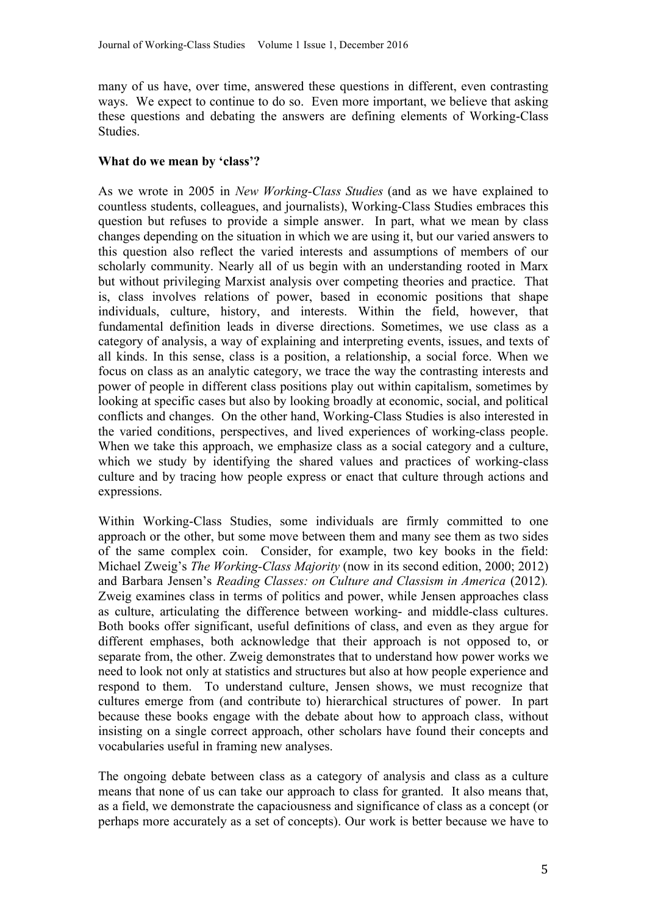many of us have, over time, answered these questions in different, even contrasting ways. We expect to continue to do so. Even more important, we believe that asking these questions and debating the answers are defining elements of Working-Class **Studies** 

## **What do we mean by 'class'?**

As we wrote in 2005 in *New Working-Class Studies* (and as we have explained to countless students, colleagues, and journalists), Working-Class Studies embraces this question but refuses to provide a simple answer. In part, what we mean by class changes depending on the situation in which we are using it, but our varied answers to this question also reflect the varied interests and assumptions of members of our scholarly community. Nearly all of us begin with an understanding rooted in Marx but without privileging Marxist analysis over competing theories and practice. That is, class involves relations of power, based in economic positions that shape individuals, culture, history, and interests. Within the field, however, that fundamental definition leads in diverse directions. Sometimes, we use class as a category of analysis, a way of explaining and interpreting events, issues, and texts of all kinds. In this sense, class is a position, a relationship, a social force. When we focus on class as an analytic category, we trace the way the contrasting interests and power of people in different class positions play out within capitalism, sometimes by looking at specific cases but also by looking broadly at economic, social, and political conflicts and changes. On the other hand, Working-Class Studies is also interested in the varied conditions, perspectives, and lived experiences of working-class people. When we take this approach, we emphasize class as a social category and a culture, which we study by identifying the shared values and practices of working-class culture and by tracing how people express or enact that culture through actions and expressions.

Within Working-Class Studies, some individuals are firmly committed to one approach or the other, but some move between them and many see them as two sides of the same complex coin. Consider, for example, two key books in the field: Michael Zweig's *The Working-Class Majority* (now in its second edition, 2000; 2012) and Barbara Jensen's *Reading Classes: on Culture and Classism in America* (2012)*.*  Zweig examines class in terms of politics and power, while Jensen approaches class as culture, articulating the difference between working- and middle-class cultures. Both books offer significant, useful definitions of class, and even as they argue for different emphases, both acknowledge that their approach is not opposed to, or separate from, the other. Zweig demonstrates that to understand how power works we need to look not only at statistics and structures but also at how people experience and respond to them. To understand culture, Jensen shows, we must recognize that cultures emerge from (and contribute to) hierarchical structures of power. In part because these books engage with the debate about how to approach class, without insisting on a single correct approach, other scholars have found their concepts and vocabularies useful in framing new analyses.

The ongoing debate between class as a category of analysis and class as a culture means that none of us can take our approach to class for granted. It also means that, as a field, we demonstrate the capaciousness and significance of class as a concept (or perhaps more accurately as a set of concepts). Our work is better because we have to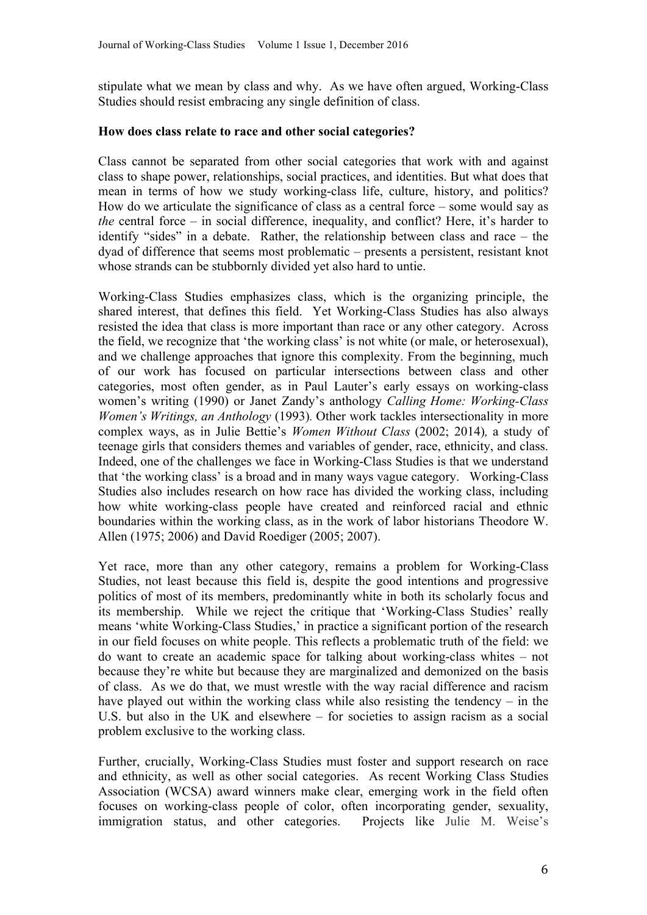stipulate what we mean by class and why. As we have often argued, Working-Class Studies should resist embracing any single definition of class.

#### **How does class relate to race and other social categories?**

Class cannot be separated from other social categories that work with and against class to shape power, relationships, social practices, and identities. But what does that mean in terms of how we study working-class life, culture, history, and politics? How do we articulate the significance of class as a central force – some would say as *the* central force – in social difference, inequality, and conflict? Here, it's harder to identify "sides" in a debate. Rather, the relationship between class and race – the dyad of difference that seems most problematic – presents a persistent, resistant knot whose strands can be stubbornly divided yet also hard to untie.

Working-Class Studies emphasizes class, which is the organizing principle, the shared interest, that defines this field. Yet Working-Class Studies has also always resisted the idea that class is more important than race or any other category. Across the field, we recognize that 'the working class' is not white (or male, or heterosexual), and we challenge approaches that ignore this complexity. From the beginning, much of our work has focused on particular intersections between class and other categories, most often gender, as in Paul Lauter's early essays on working-class women's writing (1990) or Janet Zandy's anthology *Calling Home: Working-Class Women's Writings, an Anthology* (1993)*.* Other work tackles intersectionality in more complex ways, as in Julie Bettie's *Women Without Class* (2002; 2014)*,* a study of teenage girls that considers themes and variables of gender, race, ethnicity, and class. Indeed, one of the challenges we face in Working-Class Studies is that we understand that 'the working class' is a broad and in many ways vague category. Working-Class Studies also includes research on how race has divided the working class, including how white working-class people have created and reinforced racial and ethnic boundaries within the working class, as in the work of labor historians Theodore W. Allen (1975; 2006) and David Roediger (2005; 2007).

Yet race, more than any other category, remains a problem for Working-Class Studies, not least because this field is, despite the good intentions and progressive politics of most of its members, predominantly white in both its scholarly focus and its membership. While we reject the critique that 'Working-Class Studies' really means 'white Working-Class Studies,' in practice a significant portion of the research in our field focuses on white people. This reflects a problematic truth of the field: we do want to create an academic space for talking about working-class whites – not because they're white but because they are marginalized and demonized on the basis of class. As we do that, we must wrestle with the way racial difference and racism have played out within the working class while also resisting the tendency – in the U.S. but also in the UK and elsewhere – for societies to assign racism as a social problem exclusive to the working class.

Further, crucially, Working-Class Studies must foster and support research on race and ethnicity, as well as other social categories. As recent Working Class Studies Association (WCSA) award winners make clear, emerging work in the field often focuses on working-class people of color, often incorporating gender, sexuality, immigration status, and other categories. Projects like Julie M. Weise's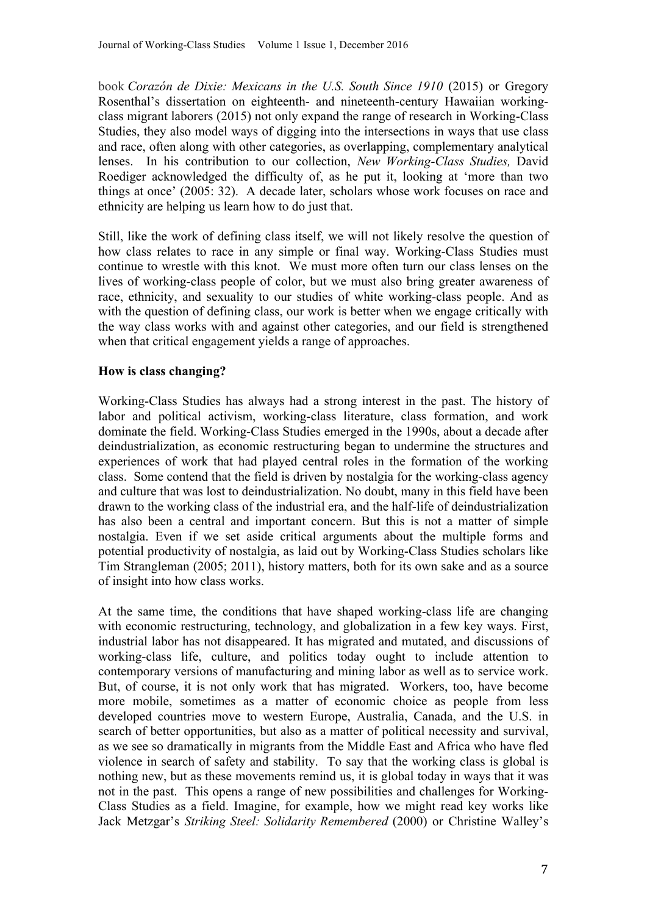book *Corazón de Dixie: Mexicans in the U.S. South Since 1910* (2015) or Gregory Rosenthal's dissertation on eighteenth- and nineteenth-century Hawaiian workingclass migrant laborers (2015) not only expand the range of research in Working-Class Studies, they also model ways of digging into the intersections in ways that use class and race, often along with other categories, as overlapping, complementary analytical lenses. In his contribution to our collection, *New Working-Class Studies,* David Roediger acknowledged the difficulty of, as he put it, looking at 'more than two things at once' (2005: 32). A decade later, scholars whose work focuses on race and ethnicity are helping us learn how to do just that.

Still, like the work of defining class itself, we will not likely resolve the question of how class relates to race in any simple or final way. Working-Class Studies must continue to wrestle with this knot. We must more often turn our class lenses on the lives of working-class people of color, but we must also bring greater awareness of race, ethnicity, and sexuality to our studies of white working-class people. And as with the question of defining class, our work is better when we engage critically with the way class works with and against other categories, and our field is strengthened when that critical engagement yields a range of approaches.

# **How is class changing?**

Working-Class Studies has always had a strong interest in the past. The history of labor and political activism, working-class literature, class formation, and work dominate the field. Working-Class Studies emerged in the 1990s, about a decade after deindustrialization, as economic restructuring began to undermine the structures and experiences of work that had played central roles in the formation of the working class. Some contend that the field is driven by nostalgia for the working-class agency and culture that was lost to deindustrialization. No doubt, many in this field have been drawn to the working class of the industrial era, and the half-life of deindustrialization has also been a central and important concern. But this is not a matter of simple nostalgia. Even if we set aside critical arguments about the multiple forms and potential productivity of nostalgia, as laid out by Working-Class Studies scholars like Tim Strangleman (2005; 2011), history matters, both for its own sake and as a source of insight into how class works.

At the same time, the conditions that have shaped working-class life are changing with economic restructuring, technology, and globalization in a few key ways. First, industrial labor has not disappeared. It has migrated and mutated, and discussions of working-class life, culture, and politics today ought to include attention to contemporary versions of manufacturing and mining labor as well as to service work. But, of course, it is not only work that has migrated. Workers, too, have become more mobile, sometimes as a matter of economic choice as people from less developed countries move to western Europe, Australia, Canada, and the U.S. in search of better opportunities, but also as a matter of political necessity and survival, as we see so dramatically in migrants from the Middle East and Africa who have fled violence in search of safety and stability. To say that the working class is global is nothing new, but as these movements remind us, it is global today in ways that it was not in the past. This opens a range of new possibilities and challenges for Working-Class Studies as a field. Imagine, for example, how we might read key works like Jack Metzgar's *Striking Steel: Solidarity Remembered* (2000) or Christine Walley's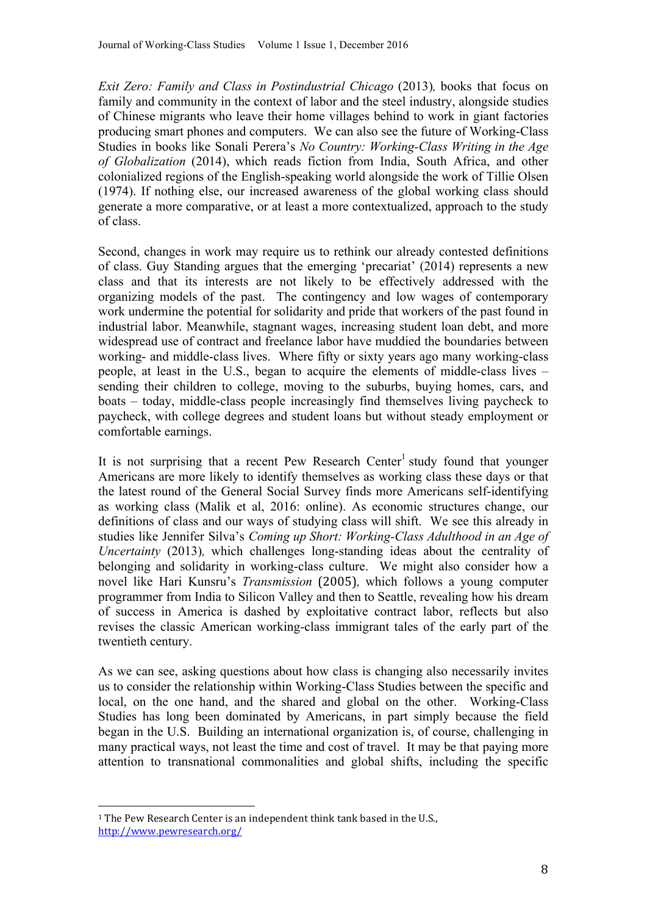*Exit Zero: Family and Class in Postindustrial Chicago (2013), books that focus on* family and community in the context of labor and the steel industry, alongside studies of Chinese migrants who leave their home villages behind to work in giant factories producing smart phones and computers. We can also see the future of Working-Class Studies in books like Sonali Perera's *No Country: Working-Class Writing in the Age of Globalization* (2014), which reads fiction from India, South Africa, and other colonialized regions of the English-speaking world alongside the work of Tillie Olsen (1974). If nothing else, our increased awareness of the global working class should generate a more comparative, or at least a more contextualized, approach to the study of class.

Second, changes in work may require us to rethink our already contested definitions of class. Guy Standing argues that the emerging 'precariat' (2014) represents a new class and that its interests are not likely to be effectively addressed with the organizing models of the past. The contingency and low wages of contemporary work undermine the potential for solidarity and pride that workers of the past found in industrial labor. Meanwhile, stagnant wages, increasing student loan debt, and more widespread use of contract and freelance labor have muddied the boundaries between working- and middle-class lives. Where fifty or sixty years ago many working-class people, at least in the U.S., began to acquire the elements of middle-class lives – sending their children to college, moving to the suburbs, buying homes, cars, and boats – today, middle-class people increasingly find themselves living paycheck to paycheck, with college degrees and student loans but without steady employment or comfortable earnings.

It is not surprising that a recent Pew Research Center<sup>1</sup> study found that younger Americans are more likely to identify themselves as working class these days or that the latest round of the General Social Survey finds more Americans self-identifying as working class (Malik et al, 2016: online). As economic structures change, our definitions of class and our ways of studying class will shift. We see this already in studies like Jennifer Silva's *Coming up Short: Working-Class Adulthood in an Age of Uncertainty* (2013)*,* which challenges long-standing ideas about the centrality of belonging and solidarity in working-class culture. We might also consider how a novel like Hari Kunsru's *Transmission* (2005)*,* which follows a young computer programmer from India to Silicon Valley and then to Seattle, revealing how his dream of success in America is dashed by exploitative contract labor, reflects but also revises the classic American working-class immigrant tales of the early part of the twentieth century.

As we can see, asking questions about how class is changing also necessarily invites us to consider the relationship within Working-Class Studies between the specific and local, on the one hand, and the shared and global on the other. Working-Class Studies has long been dominated by Americans, in part simply because the field began in the U.S. Building an international organization is, of course, challenging in many practical ways, not least the time and cost of travel. It may be that paying more attention to transnational commonalities and global shifts, including the specific

 

 $1$  The Pew Research Center is an independent think tank based in the U.S., http://www.pewresearch.org/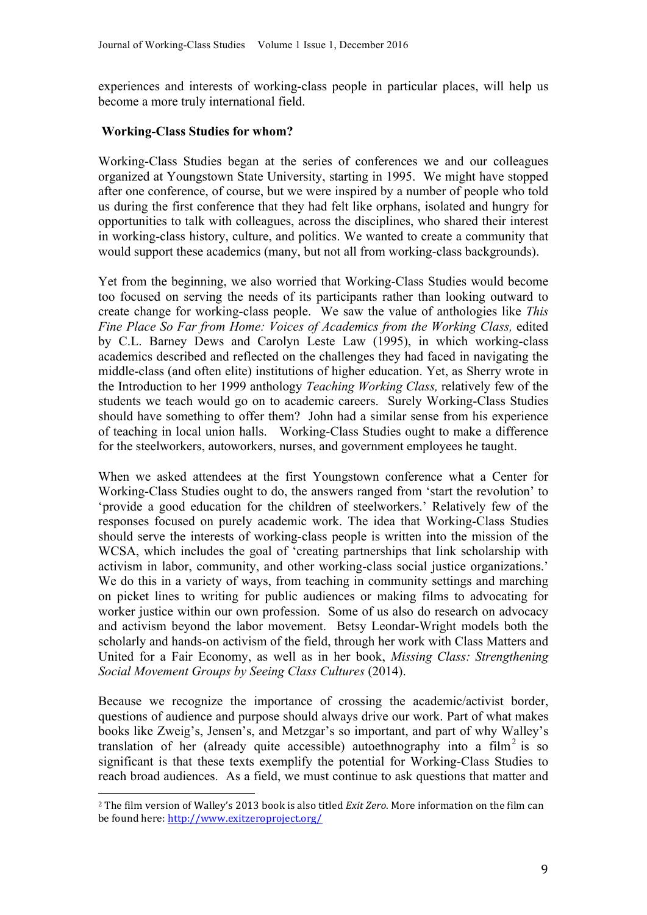experiences and interests of working-class people in particular places, will help us become a more truly international field.

## **Working-Class Studies for whom?**

Working-Class Studies began at the series of conferences we and our colleagues organized at Youngstown State University, starting in 1995. We might have stopped after one conference, of course, but we were inspired by a number of people who told us during the first conference that they had felt like orphans, isolated and hungry for opportunities to talk with colleagues, across the disciplines, who shared their interest in working-class history, culture, and politics. We wanted to create a community that would support these academics (many, but not all from working-class backgrounds).

Yet from the beginning, we also worried that Working-Class Studies would become too focused on serving the needs of its participants rather than looking outward to create change for working-class people. We saw the value of anthologies like *This Fine Place So Far from Home: Voices of Academics from the Working Class,* edited by C.L. Barney Dews and Carolyn Leste Law (1995), in which working-class academics described and reflected on the challenges they had faced in navigating the middle-class (and often elite) institutions of higher education. Yet, as Sherry wrote in the Introduction to her 1999 anthology *Teaching Working Class,* relatively few of the students we teach would go on to academic careers. Surely Working-Class Studies should have something to offer them? John had a similar sense from his experience of teaching in local union halls. Working-Class Studies ought to make a difference for the steelworkers, autoworkers, nurses, and government employees he taught.

When we asked attendees at the first Youngstown conference what a Center for Working-Class Studies ought to do, the answers ranged from 'start the revolution' to 'provide a good education for the children of steelworkers.' Relatively few of the responses focused on purely academic work. The idea that Working-Class Studies should serve the interests of working-class people is written into the mission of the WCSA, which includes the goal of 'creating partnerships that link scholarship with activism in labor, community, and other working-class social justice organizations.' We do this in a variety of ways, from teaching in community settings and marching on picket lines to writing for public audiences or making films to advocating for worker justice within our own profession. Some of us also do research on advocacy and activism beyond the labor movement. Betsy Leondar-Wright models both the scholarly and hands-on activism of the field, through her work with Class Matters and United for a Fair Economy, as well as in her book, *Missing Class: Strengthening Social Movement Groups by Seeing Class Cultures* (2014).

Because we recognize the importance of crossing the academic/activist border, questions of audience and purpose should always drive our work. Part of what makes books like Zweig's, Jensen's, and Metzgar's so important, and part of why Walley's translation of her (already quite accessible) autoethnography into a film<sup>2</sup> is so significant is that these texts exemplify the potential for Working-Class Studies to reach broad audiences. As a field, we must continue to ask questions that matter and

 

 $2$  The film version of Walley's 2013 book is also titled *Exit Zero*. More information on the film can be found here: http://www.exitzeroproject.org/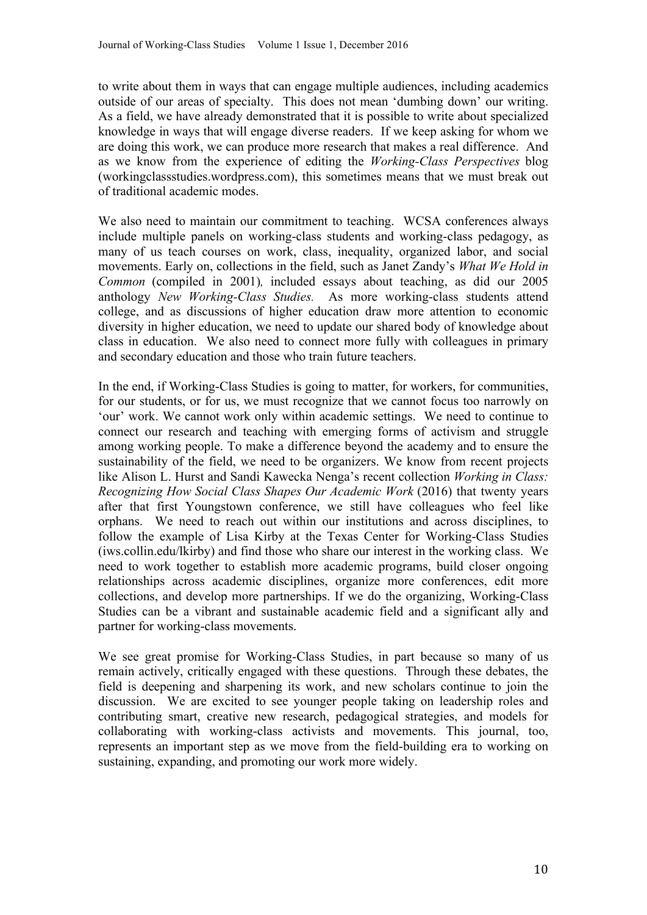to write about them in ways that can engage multiple audiences, including academics outside of our areas of specialty. This does not mean 'dumbing down' our writing. As a field, we have already demonstrated that it is possible to write about specialized knowledge in ways that will engage diverse readers. If we keep asking for whom we are doing this work, we can produce more research that makes a real difference. And as we know from the experience of editing the *Working-Class Perspectives* blog (workingclassstudies.wordpress.com), this sometimes means that we must break out of traditional academic modes.

We also need to maintain our commitment to teaching. WCSA conferences always include multiple panels on working-class students and working-class pedagogy, as many of us teach courses on work, class, inequality, organized labor, and social movements. Early on, collections in the field, such as Janet Zandy's *What We Hold in Common* (compiled in 2001)*,* included essays about teaching, as did our 2005 anthology *New Working-Class Studies.* As more working-class students attend college, and as discussions of higher education draw more attention to economic diversity in higher education, we need to update our shared body of knowledge about class in education. We also need to connect more fully with colleagues in primary and secondary education and those who train future teachers.

In the end, if Working-Class Studies is going to matter, for workers, for communities, for our students, or for us, we must recognize that we cannot focus too narrowly on 'our' work. We cannot work only within academic settings. We need to continue to connect our research and teaching with emerging forms of activism and struggle among working people. To make a difference beyond the academy and to ensure the sustainability of the field, we need to be organizers. We know from recent projects like Alison L. Hurst and Sandi Kawecka Nenga's recent collection *Working in Class: Recognizing How Social Class Shapes Our Academic Work* (2016) that twenty years after that first Youngstown conference, we still have colleagues who feel like orphans. We need to reach out within our institutions and across disciplines, to follow the example of Lisa Kirby at the Texas Center for Working-Class Studies (iws.collin.edu/lkirby) and find those who share our interest in the working class. We need to work together to establish more academic programs, build closer ongoing relationships across academic disciplines, organize more conferences, edit more collections, and develop more partnerships. If we do the organizing, Working-Class Studies can be a vibrant and sustainable academic field and a significant ally and partner for working-class movements.

We see great promise for Working-Class Studies, in part because so many of us remain actively, critically engaged with these questions. Through these debates, the field is deepening and sharpening its work, and new scholars continue to join the discussion. We are excited to see younger people taking on leadership roles and contributing smart, creative new research, pedagogical strategies, and models for collaborating with working-class activists and movements. This journal, too, represents an important step as we move from the field-building era to working on sustaining, expanding, and promoting our work more widely.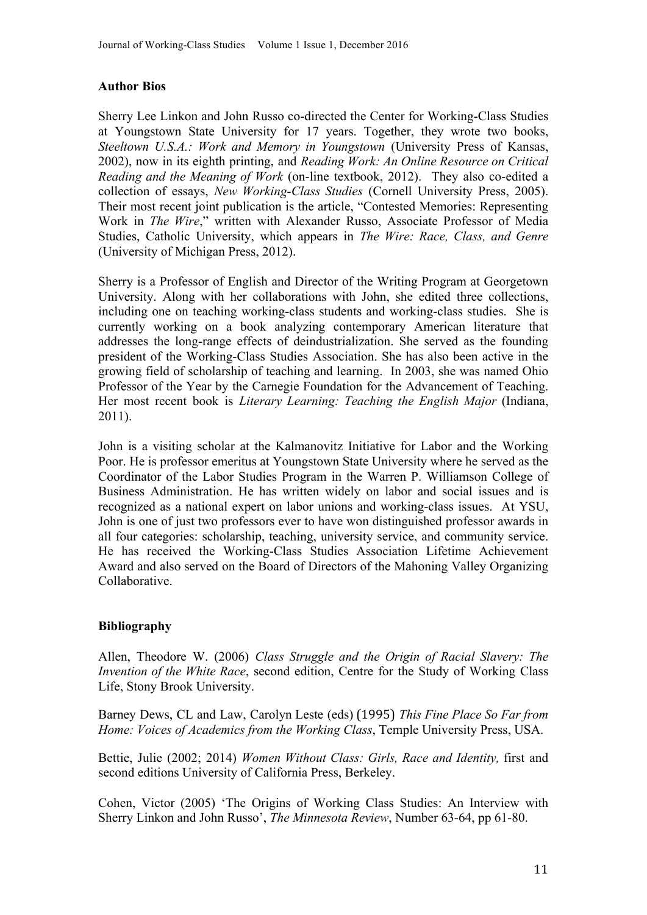## **Author Bios**

Sherry Lee Linkon and John Russo co-directed the Center for Working-Class Studies at Youngstown State University for 17 years. Together, they wrote two books, *Steeltown U.S.A.: Work and Memory in Youngstown* (University Press of Kansas, 2002), now in its eighth printing, and *Reading Work: An Online Resource on Critical Reading and the Meaning of Work* (on-line textbook, 2012). They also co-edited a collection of essays, *New Working-Class Studies* (Cornell University Press, 2005). Their most recent joint publication is the article, "Contested Memories: Representing Work in *The Wire*," written with Alexander Russo, Associate Professor of Media Studies, Catholic University, which appears in *The Wire: Race, Class, and Genre* (University of Michigan Press, 2012).

Sherry is a Professor of English and Director of the Writing Program at Georgetown University. Along with her collaborations with John, she edited three collections, including one on teaching working-class students and working-class studies. She is currently working on a book analyzing contemporary American literature that addresses the long-range effects of deindustrialization. She served as the founding president of the Working-Class Studies Association. She has also been active in the growing field of scholarship of teaching and learning. In 2003, she was named Ohio Professor of the Year by the Carnegie Foundation for the Advancement of Teaching. Her most recent book is *Literary Learning: Teaching the English Major* (Indiana, 2011).

John is a visiting scholar at the Kalmanovitz Initiative for Labor and the Working Poor. He is professor emeritus at Youngstown State University where he served as the Coordinator of the Labor Studies Program in the Warren P. Williamson College of Business Administration. He has written widely on labor and social issues and is recognized as a national expert on labor unions and working-class issues. At YSU, John is one of just two professors ever to have won distinguished professor awards in all four categories: scholarship, teaching, university service, and community service. He has received the Working-Class Studies Association Lifetime Achievement Award and also served on the Board of Directors of the Mahoning Valley Organizing Collaborative.

#### **Bibliography**

Allen, Theodore W. (2006) *Class Struggle and the Origin of Racial Slavery: The Invention of the White Race*, second edition, Centre for the Study of Working Class Life, Stony Brook University.

Barney Dews, CL and Law, Carolyn Leste (eds) (1995) *This Fine Place So Far from Home: Voices of Academics from the Working Class*, Temple University Press, USA.

Bettie, Julie (2002; 2014) *Women Without Class: Girls, Race and Identity,* first and second editions University of California Press, Berkeley.

Cohen, Victor (2005) 'The Origins of Working Class Studies: An Interview with Sherry Linkon and John Russo', *The Minnesota Review*, Number 63-64, pp 61-80.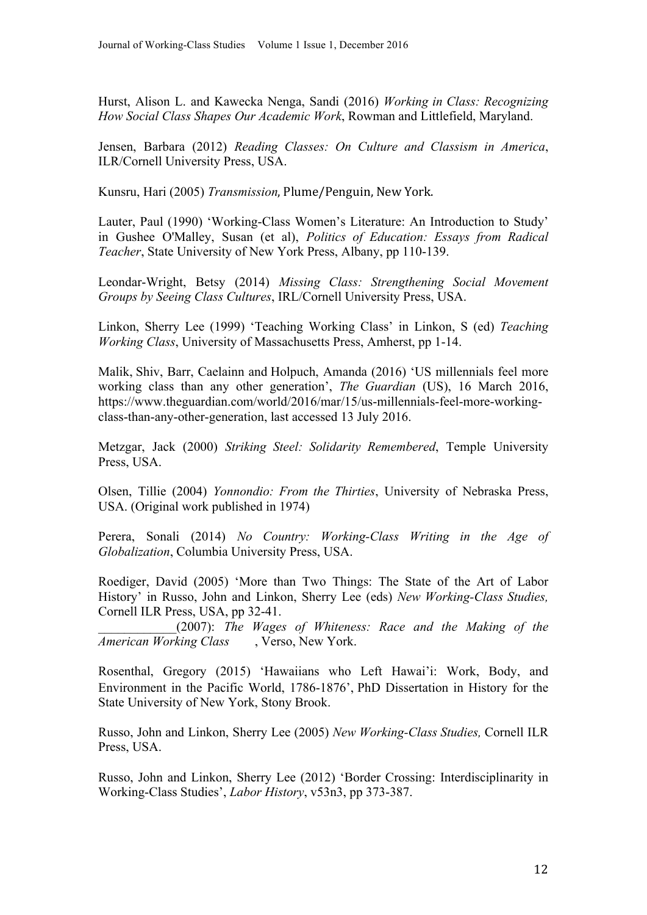Hurst, Alison L. and Kawecka Nenga, Sandi (2016) *Working in Class: Recognizing How Social Class Shapes Our Academic Work*, Rowman and Littlefield, Maryland.

Jensen, Barbara (2012) *Reading Classes: On Culture and Classism in America*, ILR/Cornell University Press, USA.

Kunsru, Hari (2005) *Transmission*, Plume/Penguin, New York.

Lauter, Paul (1990) 'Working-Class Women's Literature: An Introduction to Study' in Gushee O'Malley, Susan (et al), *Politics of Education: Essays from Radical Teacher*, State University of New York Press, Albany, pp 110-139.

Leondar-Wright, Betsy (2014) *Missing Class: Strengthening Social Movement Groups by Seeing Class Cultures*, IRL/Cornell University Press, USA.

Linkon, Sherry Lee (1999) 'Teaching Working Class' in Linkon, S (ed) *Teaching Working Class*, University of Massachusetts Press, Amherst, pp 1-14.

Malik, Shiv, Barr, Caelainn and Holpuch, Amanda (2016) 'US millennials feel more working class than any other generation', *The Guardian* (US), 16 March 2016, https://www.theguardian.com/world/2016/mar/15/us-millennials-feel-more-workingclass-than-any-other-generation, last accessed 13 July 2016.

Metzgar, Jack (2000) *Striking Steel: Solidarity Remembered*, Temple University Press, USA.

Olsen, Tillie (2004) *Yonnondio: From the Thirties*, University of Nebraska Press, USA. (Original work published in 1974)

Perera, Sonali (2014) *No Country: Working-Class Writing in the Age of Globalization*, Columbia University Press, USA.

Roediger, David (2005) 'More than Two Things: The State of the Art of Labor History' in Russo, John and Linkon, Sherry Lee (eds) *New Working-Class Studies,*  Cornell ILR Press, USA, pp 32-41.

\_\_\_\_\_\_\_\_\_\_\_\_(2007): *The Wages of Whiteness: Race and the Making of the American Working Class* , Verso, New York.

Rosenthal, Gregory (2015) 'Hawaiians who Left Hawai'i: Work, Body, and Environment in the Pacific World, 1786-1876', PhD Dissertation in History for the State University of New York, Stony Brook.

Russo, John and Linkon, Sherry Lee (2005) *New Working-Class Studies,* Cornell ILR Press, USA.

Russo, John and Linkon, Sherry Lee (2012) 'Border Crossing: Interdisciplinarity in Working-Class Studies', *Labor History*, v53n3, pp 373-387.